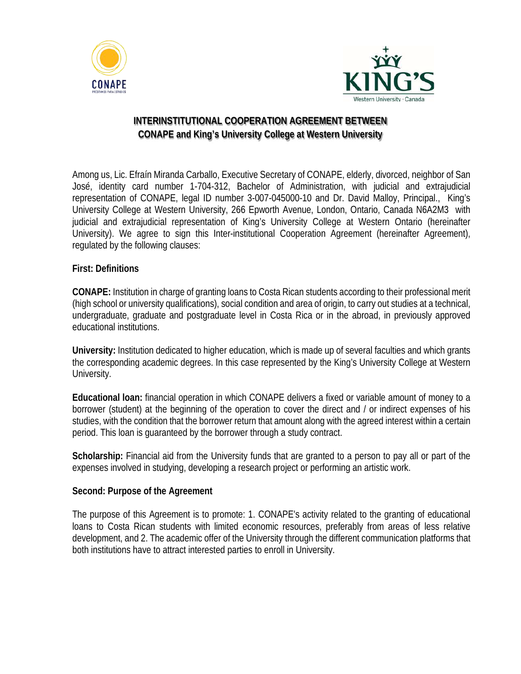



# **INTERINSTITUTIONAL COOPERATION AGREEMENT BETWEEN CONAPE and King's University College at Western University**

Among us, Lic. Efraín Miranda Carballo, Executive Secretary of CONAPE, elderly, divorced, neighbor of San José, identity card number 1-704-312, Bachelor of Administration, with judicial and extrajudicial representation of CONAPE, legal ID number 3-007-045000-10 and Dr. David Malloy, Principal., King's University College at Western University, 266 Epworth Avenue, London, Ontario, Canada N6A2M3 with judicial and extrajudicial representation of King's University College at Western Ontario (hereinafter University). We agree to sign this Inter-institutional Cooperation Agreement (hereinafter Agreement), regulated by the following clauses:

# **First: Definitions**

**CONAPE:** Institution in charge of granting loans to Costa Rican students according to their professional merit (high school or university qualifications), social condition and area of origin, to carry out studies at a technical, undergraduate, graduate and postgraduate level in Costa Rica or in the abroad, in previously approved educational institutions.

**University:** Institution dedicated to higher education, which is made up of several faculties and which grants the corresponding academic degrees. In this case represented by the King's University College at Western University.

**Educational loan:** financial operation in which CONAPE delivers a fixed or variable amount of money to a borrower (student) at the beginning of the operation to cover the direct and / or indirect expenses of his studies, with the condition that the borrower return that amount along with the agreed interest within a certain period. This loan is guaranteed by the borrower through a study contract.

**Scholarship:** Financial aid from the University funds that are granted to a person to pay all or part of the expenses involved in studying, developing a research project or performing an artistic work.

#### **Second: Purpose of the Agreement**

The purpose of this Agreement is to promote: 1. CONAPE's activity related to the granting of educational loans to Costa Rican students with limited economic resources, preferably from areas of less relative development, and 2. The academic offer of the University through the different communication platforms that both institutions have to attract interested parties to enroll in University.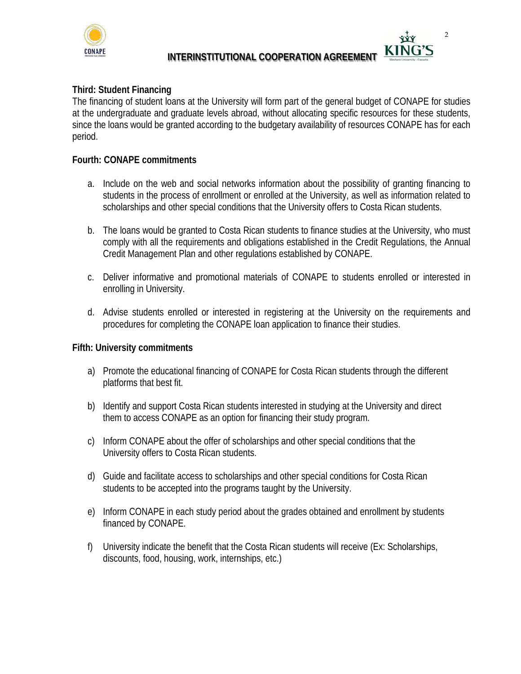

**INTERINSTITUTIONAL COOPERATION AGREEMENT** 

2

# **Third: Student Financing**

The financing of student loans at the University will form part of the general budget of CONAPE for studies at the undergraduate and graduate levels abroad, without allocating specific resources for these students, since the loans would be granted according to the budgetary availability of resources CONAPE has for each period.

### **Fourth: CONAPE commitments**

- a. Include on the web and social networks information about the possibility of granting financing to students in the process of enrollment or enrolled at the University, as well as information related to scholarships and other special conditions that the University offers to Costa Rican students.
- b. The loans would be granted to Costa Rican students to finance studies at the University, who must comply with all the requirements and obligations established in the Credit Regulations, the Annual Credit Management Plan and other regulations established by CONAPE.
- c. Deliver informative and promotional materials of CONAPE to students enrolled or interested in enrolling in University.
- d. Advise students enrolled or interested in registering at the University on the requirements and procedures for completing the CONAPE loan application to finance their studies.

#### **Fifth: University commitments**

- a) Promote the educational financing of CONAPE for Costa Rican students through the different platforms that best fit.
- b) Identify and support Costa Rican students interested in studying at the University and direct them to access CONAPE as an option for financing their study program.
- c) Inform CONAPE about the offer of scholarships and other special conditions that the University offers to Costa Rican students.
- d) Guide and facilitate access to scholarships and other special conditions for Costa Rican students to be accepted into the programs taught by the University.
- e) Inform CONAPE in each study period about the grades obtained and enrollment by students financed by CONAPE.
- f) University indicate the benefit that the Costa Rican students will receive (Ex: Scholarships, discounts, food, housing, work, internships, etc.)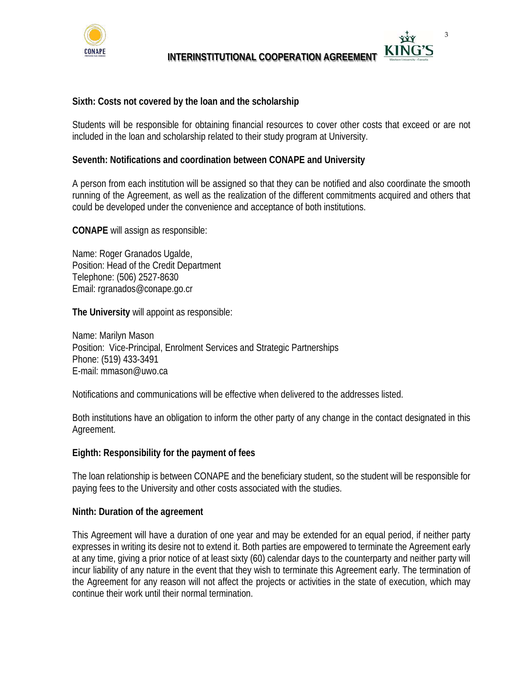

**INTERINSTITUTIONAL COOPERATION AGREEMENT** 

3

### **Sixth: Costs not covered by the loan and the scholarship**

Students will be responsible for obtaining financial resources to cover other costs that exceed or are not included in the loan and scholarship related to their study program at University.

#### **Seventh: Notifications and coordination between CONAPE and University**

A person from each institution will be assigned so that they can be notified and also coordinate the smooth running of the Agreement, as well as the realization of the different commitments acquired and others that could be developed under the convenience and acceptance of both institutions.

**CONAPE** will assign as responsible:

Name: Roger Granados Ugalde, Position: Head of the Credit Department Telephone: (506) 2527-8630 Email: rgranados@conape.go.cr

**The University** will appoint as responsible:

Name: Marilyn Mason Position: Vice-Principal, Enrolment Services and Strategic Partnerships Phone: (519) 433-3491 E-mail: mmason@uwo.ca

Notifications and communications will be effective when delivered to the addresses listed.

Both institutions have an obligation to inform the other party of any change in the contact designated in this Agreement.

#### **Eighth: Responsibility for the payment of fees**

The loan relationship is between CONAPE and the beneficiary student, so the student will be responsible for paying fees to the University and other costs associated with the studies.

#### **Ninth: Duration of the agreement**

This Agreement will have a duration of one year and may be extended for an equal period, if neither party expresses in writing its desire not to extend it. Both parties are empowered to terminate the Agreement early at any time, giving a prior notice of at least sixty (60) calendar days to the counterparty and neither party will incur liability of any nature in the event that they wish to terminate this Agreement early. The termination of the Agreement for any reason will not affect the projects or activities in the state of execution, which may continue their work until their normal termination.